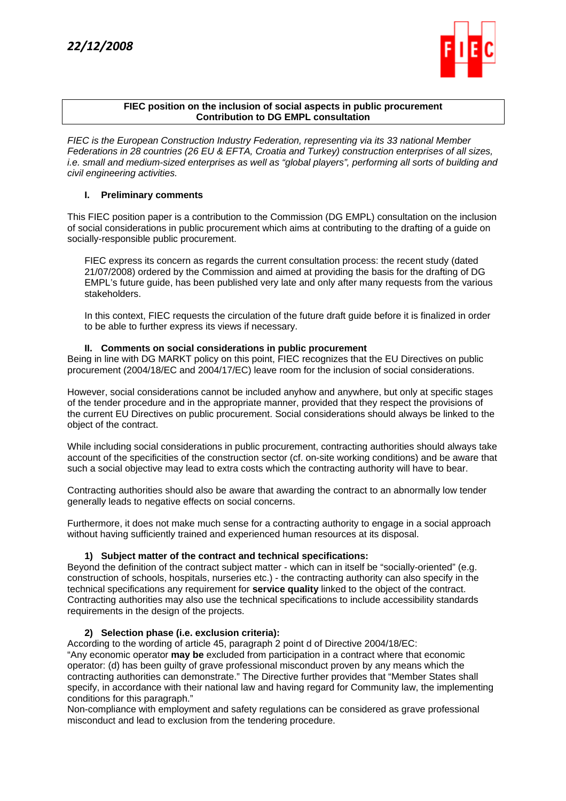

#### **FIEC position on the inclusion of social aspects in public procurement Contribution to DG EMPL consultation**

*FIEC is the European Construction Industry Federation, representing via its 33 national Member Federations in 28 countries (26 EU & EFTA, Croatia and Turkey) construction enterprises of all sizes, i.e. small and medium-sized enterprises as well as "global players", performing all sorts of building and civil engineering activities.* 

## **I. Preliminary comments**

This FIEC position paper is a contribution to the Commission (DG EMPL) consultation on the inclusion of social considerations in public procurement which aims at contributing to the drafting of a guide on socially-responsible public procurement.

FIEC express its concern as regards the current consultation process: the recent study (dated 21/07/2008) ordered by the Commission and aimed at providing the basis for the drafting of DG EMPL's future guide, has been published very late and only after many requests from the various stakeholders.

In this context, FIEC requests the circulation of the future draft guide before it is finalized in order to be able to further express its views if necessary.

### **II. Comments on social considerations in public procurement**

Being in line with DG MARKT policy on this point, FIEC recognizes that the EU Directives on public procurement (2004/18/EC and 2004/17/EC) leave room for the inclusion of social considerations.

However, social considerations cannot be included anyhow and anywhere, but only at specific stages of the tender procedure and in the appropriate manner, provided that they respect the provisions of the current EU Directives on public procurement. Social considerations should always be linked to the object of the contract.

While including social considerations in public procurement, contracting authorities should always take account of the specificities of the construction sector (cf. on-site working conditions) and be aware that such a social objective may lead to extra costs which the contracting authority will have to bear.

Contracting authorities should also be aware that awarding the contract to an abnormally low tender generally leads to negative effects on social concerns.

Furthermore, it does not make much sense for a contracting authority to engage in a social approach without having sufficiently trained and experienced human resources at its disposal.

# **1) Subject matter of the contract and technical specifications:**

Beyond the definition of the contract subject matter - which can in itself be "socially-oriented" (e.g. construction of schools, hospitals, nurseries etc.) - the contracting authority can also specify in the technical specifications any requirement for **service quality** linked to the object of the contract. Contracting authorities may also use the technical specifications to include accessibility standards requirements in the design of the projects.

### **2) Selection phase (i.e. exclusion criteria):**

According to the wording of article 45, paragraph 2 point d of Directive 2004/18/EC: "Any economic operator **may be** excluded from participation in a contract where that economic operator: (d) has been guilty of grave professional misconduct proven by any means which the contracting authorities can demonstrate." The Directive further provides that "Member States shall specify, in accordance with their national law and having regard for Community law, the implementing conditions for this paragraph."

Non-compliance with employment and safety regulations can be considered as grave professional misconduct and lead to exclusion from the tendering procedure.